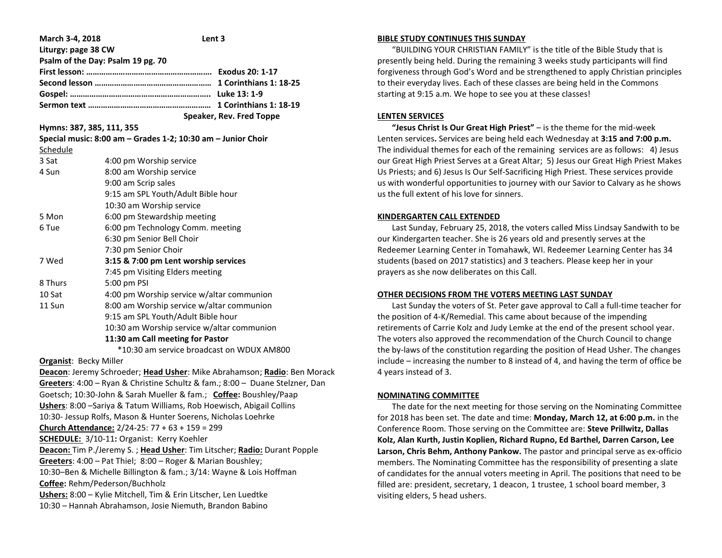| March 3-4, 2018               | Lent <sub>3</sub>                                                        |  |  |
|-------------------------------|--------------------------------------------------------------------------|--|--|
| Liturgy: page 38 CW           |                                                                          |  |  |
|                               | Psalm of the Day: Psalm 19 pg. 70                                        |  |  |
|                               |                                                                          |  |  |
|                               |                                                                          |  |  |
|                               |                                                                          |  |  |
|                               |                                                                          |  |  |
|                               | Speaker, Rev. Fred Toppe                                                 |  |  |
| Hymns: 387, 385, 111, 355     |                                                                          |  |  |
|                               | Special music: 8:00 am - Grades 1-2; 10:30 am - Junior Choir             |  |  |
| Schedule                      |                                                                          |  |  |
| 3 Sat                         | 4:00 pm Worship service                                                  |  |  |
| 4 Sun                         | 8:00 am Worship service                                                  |  |  |
|                               | 9:00 am Scrip sales                                                      |  |  |
|                               | 9:15 am SPL Youth/Adult Bible hour                                       |  |  |
|                               | 10:30 am Worship service                                                 |  |  |
| 5 Mon                         | 6:00 pm Stewardship meeting                                              |  |  |
| 6 Tue                         | 6:00 pm Technology Comm. meeting                                         |  |  |
|                               | 6:30 pm Senior Bell Choir                                                |  |  |
|                               | 7:30 pm Senior Choir                                                     |  |  |
| 7 Wed                         | 3:15 & 7:00 pm Lent worship services                                     |  |  |
|                               | 7:45 pm Visiting Elders meeting                                          |  |  |
| 8 Thurs                       | 5:00 pm PSI                                                              |  |  |
| 10 Sat                        | 4:00 pm Worship service w/altar communion                                |  |  |
| 11 Sun                        | 8:00 am Worship service w/altar communion                                |  |  |
|                               | 9:15 am SPL Youth/Adult Bible hour                                       |  |  |
|                               | 10:30 am Worship service w/altar communion                               |  |  |
|                               | 11:30 am Call meeting for Pastor                                         |  |  |
|                               | *10:30 am service broadcast on WDUX AM800                                |  |  |
| <b>Organist: Becky Miller</b> |                                                                          |  |  |
|                               | Deacon: Jeremy Schroeder; Head Usher: Mike Abrahamson; Radio: Ben Morack |  |  |

**Greeters**: 4:00 – Ryan & Christine Schultz & fam.; 8:00 – Duane Stelzner, Dan Goetsch; 10:30-John & Sarah Mueller & fam.; **Coffee:** Boushley/Paap **Ushers**: 8:00 –Sariya & Tatum Williams, Rob Hoewisch, Abigail Collins 10:30- Jessup Rolfs, Mason & Hunter Soerens, Nicholas Loehrke **Church Attendance:** 2/24-25: 77 + 63 + 159 = 299 **SCHEDULE:** 3/10-11**:** Organist: Kerry Koehler **Deacon:** Tim P./Jeremy S. ; **Head Usher**: Tim Litscher; **Radio:** Durant Popple **Greeters**: 4:00 – Pat Thiel; 8:00 – Roger & Marian Boushley; 10:30–Ben & Michelle Billington & fam.; 3/14: Wayne & Lois Hoffman **Coffee:** Rehm/Pederson/Buchholz **Ushers:** 8:00 – Kylie Mitchell, Tim & Erin Litscher, Len Luedtke 10:30 – Hannah Abrahamson, Josie Niemuth, Brandon Babino

#### **BIBLE STUDY CONTINUES THIS SUNDAY**

 "BUILDING YOUR CHRISTIAN FAMILY" is the title of the Bible Study that is presently being held. During the remaining 3 weeks study participants will find forgiveness through God's Word and be strengthened to apply Christian principles to their everyday lives. Each of these classes are being held in the Commons starting at 9:15 a.m. We hope to see you at these classes!

## **LENTEN SERVICES**

 **"Jesus Christ Is Our Great High Priest"** – is the theme for the mid-week Lenten services**.** Services are being held each Wednesday at **3:15 and 7:00 p.m.** The individual themes for each of the remaining services are as follows: 4) Jesus our Great High Priest Serves at a Great Altar; 5) Jesus our Great High Priest Makes Us Priests; and 6) Jesus Is Our Self-Sacrificing High Priest. These services provide us with wonderful opportunities to journey with our Savior to Calvary as he shows us the full extent of his love for sinners.

## **KINDERGARTEN CALL EXTENDED**

 Last Sunday, February 25, 2018, the voters called Miss Lindsay Sandwith to be our Kindergarten teacher. She is 26 years old and presently serves at the Redeemer Learning Center in Tomahawk, WI. Redeemer Learning Center has 34 students (based on 2017 statistics) and 3 teachers. Please keep her in your prayers as she now deliberates on this Call.

## **OTHER DECISIONS FROM THE VOTERS MEETING LAST SUNDAY**

 Last Sunday the voters of St. Peter gave approval to Call a full-time teacher for the position of 4-K/Remedial. This came about because of the impending retirements of Carrie Kolz and Judy Lemke at the end of the present school year. The voters also approved the recommendation of the Church Council to change the by-laws of the constitution regarding the position of Head Usher. The changes include – increasing the number to 8 instead of 4, and having the term of office be 4 years instead of 3.

## **NOMINATING COMMITTEE**

 The date for the next meeting for those serving on the Nominating Committee for 2018 has been set. The date and time: **Monday, March 12, at 6:00 p.m.** in the Conference Room. Those serving on the Committee are: **Steve Prillwitz, Dallas Kolz, Alan Kurth, Justin Koplien, Richard Rupno, Ed Barthel, Darren Carson, Lee Larson, Chris Behm, Anthony Pankow.** The pastor and principal serve as ex-officio members. The Nominating Committee has the responsibility of presenting a slate of candidates for the annual voters meeting in April. The positions that need to be filled are: president, secretary, 1 deacon, 1 trustee, 1 school board member, 3 visiting elders, 5 head ushers.